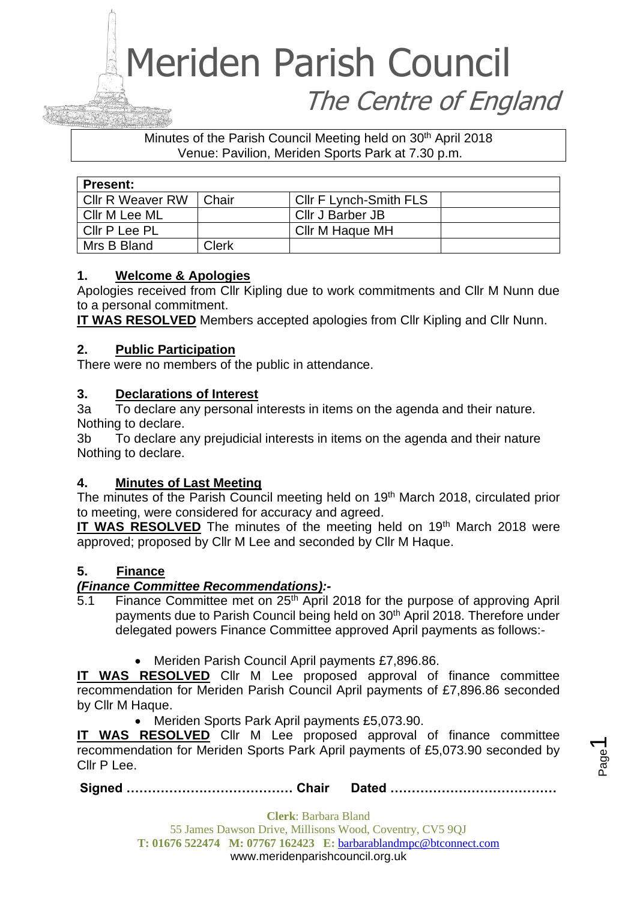# Meriden Parish Council The Centre of England

Minutes of the Parish Council Meeting held on 30<sup>th</sup> April 2018 Venue: Pavilion, Meriden Sports Park at 7.30 p.m.

| <b>Present:</b>         |       |                               |  |
|-------------------------|-------|-------------------------------|--|
| <b>CIIr R Weaver RW</b> | Chair | <b>CIIr F Lynch-Smith FLS</b> |  |
| Cllr M Lee ML           |       | Cllr J Barber JB              |  |
| Cllr P Lee PL           |       | Cllr M Haque MH               |  |
| Mrs B Bland             | Clerk |                               |  |

# **1. Welcome & Apologies**

Apologies received from Cllr Kipling due to work commitments and Cllr M Nunn due to a personal commitment.

**IT WAS RESOLVED** Members accepted apologies from Cllr Kipling and Cllr Nunn.

# **2. Public Participation**

There were no members of the public in attendance.

# **3. Declarations of Interest**

3a To declare any personal interests in items on the agenda and their nature. Nothing to declare.

3b To declare any prejudicial interests in items on the agenda and their nature Nothing to declare.

# **4. Minutes of Last Meeting**

The minutes of the Parish Council meeting held on 19<sup>th</sup> March 2018, circulated prior to meeting, were considered for accuracy and agreed.

**IT WAS RESOLVED** The minutes of the meeting held on 19<sup>th</sup> March 2018 were approved; proposed by Cllr M Lee and seconded by Cllr M Haque.

# **5. Finance**

# *(Finance Committee Recommendations):-*

- 5.1 Finance Committee met on 25<sup>th</sup> April 2018 for the purpose of approving April payments due to Parish Council being held on 30<sup>th</sup> April 2018. Therefore under delegated powers Finance Committee approved April payments as follows:-
	- Meriden Parish Council April payments £7,896.86.

**IT WAS RESOLVED** Cllr M Lee proposed approval of finance committee recommendation for Meriden Parish Council April payments of £7,896.86 seconded by Cllr M Haque.

• Meriden Sports Park April payments £5,073.90.

**IT WAS RESOLVED** Cllr M Lee proposed approval of finance committee recommendation for Meriden Sports Park April payments of £5,073.90 seconded by Cllr P Lee.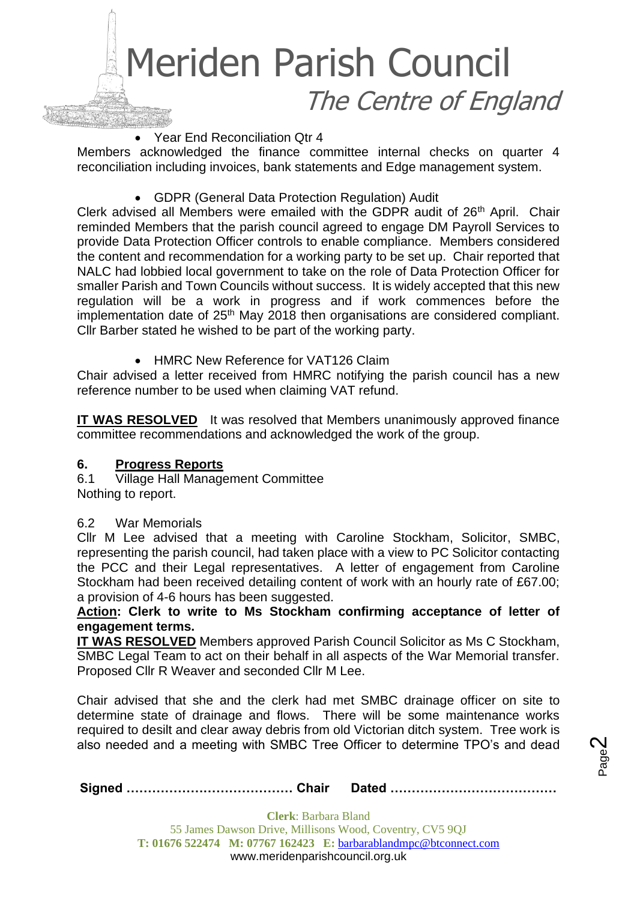

• Year End Reconciliation Qtr 4

Members acknowledged the finance committee internal checks on quarter 4 reconciliation including invoices, bank statements and Edge management system.

• GDPR (General Data Protection Regulation) Audit

Clerk advised all Members were emailed with the GDPR audit of 26<sup>th</sup> April. Chair reminded Members that the parish council agreed to engage DM Payroll Services to provide Data Protection Officer controls to enable compliance. Members considered the content and recommendation for a working party to be set up. Chair reported that NALC had lobbied local government to take on the role of Data Protection Officer for smaller Parish and Town Councils without success. It is widely accepted that this new regulation will be a work in progress and if work commences before the implementation date of  $25<sup>th</sup>$  May 2018 then organisations are considered compliant. Cllr Barber stated he wished to be part of the working party.

• HMRC New Reference for VAT126 Claim

Chair advised a letter received from HMRC notifying the parish council has a new reference number to be used when claiming VAT refund.

**IT WAS RESOLVED** It was resolved that Members unanimously approved finance committee recommendations and acknowledged the work of the group.

# **6. Progress Reports**

6.1 Village Hall Management Committee Nothing to report.

6.2 War Memorials

Cllr M Lee advised that a meeting with Caroline Stockham, Solicitor, SMBC, representing the parish council, had taken place with a view to PC Solicitor contacting the PCC and their Legal representatives. A letter of engagement from Caroline Stockham had been received detailing content of work with an hourly rate of £67.00; a provision of 4-6 hours has been suggested.

**Action: Clerk to write to Ms Stockham confirming acceptance of letter of engagement terms.**

**IT WAS RESOLVED** Members approved Parish Council Solicitor as Ms C Stockham, SMBC Legal Team to act on their behalf in all aspects of the War Memorial transfer. Proposed Cllr R Weaver and seconded Cllr M Lee.

Chair advised that she and the clerk had met SMBC drainage officer on site to determine state of drainage and flows. There will be some maintenance works required to desilt and clear away debris from old Victorian ditch system. Tree work is also needed and a meeting with SMBC Tree Officer to determine TPO's and dead

Page  $\boldsymbol{\sim}$ 

**Signed ………………………………… Chair Dated …………………………………**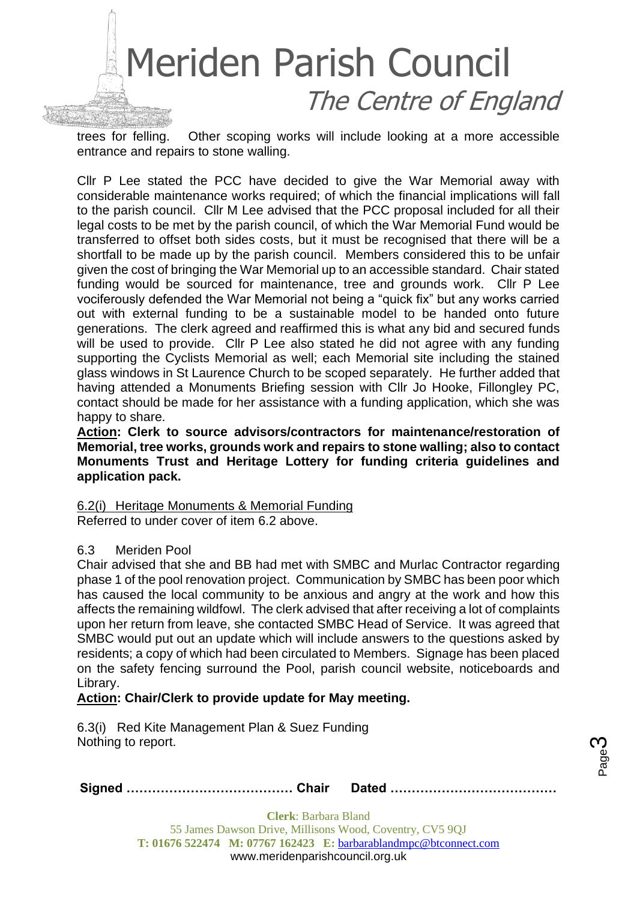

trees for felling. Other scoping works will include looking at a more accessible entrance and repairs to stone walling.

Cllr P Lee stated the PCC have decided to give the War Memorial away with considerable maintenance works required; of which the financial implications will fall to the parish council. Cllr M Lee advised that the PCC proposal included for all their legal costs to be met by the parish council, of which the War Memorial Fund would be transferred to offset both sides costs, but it must be recognised that there will be a shortfall to be made up by the parish council. Members considered this to be unfair given the cost of bringing the War Memorial up to an accessible standard. Chair stated funding would be sourced for maintenance, tree and grounds work. Cllr P Lee vociferously defended the War Memorial not being a "quick fix" but any works carried out with external funding to be a sustainable model to be handed onto future generations. The clerk agreed and reaffirmed this is what any bid and secured funds will be used to provide. Cllr P Lee also stated he did not agree with any funding supporting the Cyclists Memorial as well; each Memorial site including the stained glass windows in St Laurence Church to be scoped separately. He further added that having attended a Monuments Briefing session with Cllr Jo Hooke, Fillongley PC, contact should be made for her assistance with a funding application, which she was happy to share.

**Action: Clerk to source advisors/contractors for maintenance/restoration of Memorial, tree works, grounds work and repairs to stone walling; also to contact Monuments Trust and Heritage Lottery for funding criteria guidelines and application pack.**

#### 6.2(i) Heritage Monuments & Memorial Funding Referred to under cover of item 6.2 above.

#### 6.3 Meriden Pool

Chair advised that she and BB had met with SMBC and Murlac Contractor regarding phase 1 of the pool renovation project. Communication by SMBC has been poor which has caused the local community to be anxious and angry at the work and how this affects the remaining wildfowl. The clerk advised that after receiving a lot of complaints upon her return from leave, she contacted SMBC Head of Service. It was agreed that SMBC would put out an update which will include answers to the questions asked by residents; a copy of which had been circulated to Members. Signage has been placed on the safety fencing surround the Pool, parish council website, noticeboards and Library.

# **Action: Chair/Clerk to provide update for May meeting.**

6.3(i) Red Kite Management Plan & Suez Funding Nothing to report.

|--|--|--|

Page ო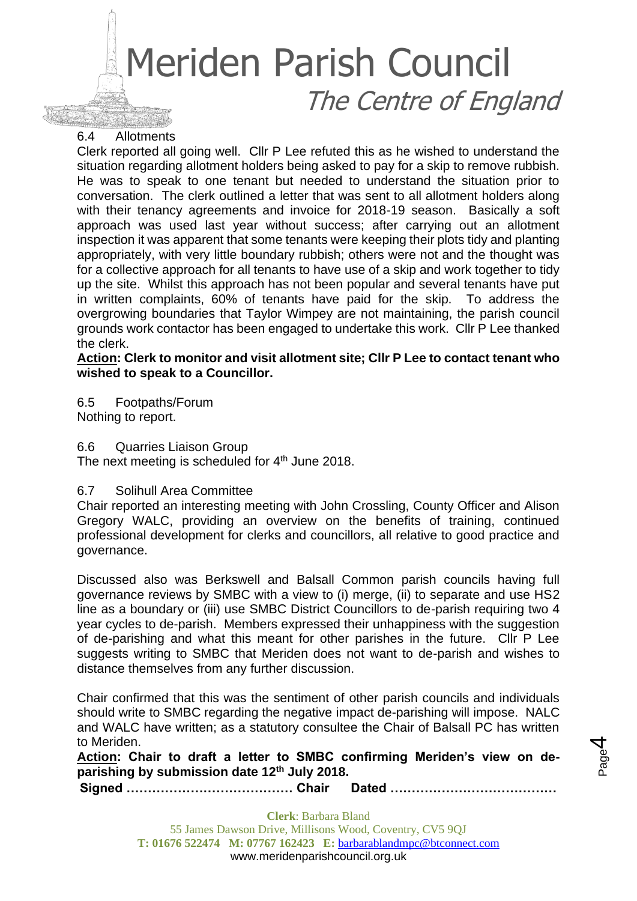# Meriden Parish Council The Centre of England

#### 6.4 Allotments

Clerk reported all going well. Cllr P Lee refuted this as he wished to understand the situation regarding allotment holders being asked to pay for a skip to remove rubbish. He was to speak to one tenant but needed to understand the situation prior to conversation. The clerk outlined a letter that was sent to all allotment holders along with their tenancy agreements and invoice for 2018-19 season. Basically a soft approach was used last year without success; after carrying out an allotment inspection it was apparent that some tenants were keeping their plots tidy and planting appropriately, with very little boundary rubbish; others were not and the thought was for a collective approach for all tenants to have use of a skip and work together to tidy up the site. Whilst this approach has not been popular and several tenants have put in written complaints, 60% of tenants have paid for the skip. To address the overgrowing boundaries that Taylor Wimpey are not maintaining, the parish council grounds work contactor has been engaged to undertake this work. Cllr P Lee thanked the clerk.

#### **Action: Clerk to monitor and visit allotment site; Cllr P Lee to contact tenant who wished to speak to a Councillor.**

6.5 Footpaths/Forum

Nothing to report.

6.6 Quarries Liaison Group

The next meeting is scheduled for  $4<sup>th</sup>$  June 2018.

# 6.7 Solihull Area Committee

Chair reported an interesting meeting with John Crossling, County Officer and Alison Gregory WALC, providing an overview on the benefits of training, continued professional development for clerks and councillors, all relative to good practice and governance.

Discussed also was Berkswell and Balsall Common parish councils having full governance reviews by SMBC with a view to (i) merge, (ii) to separate and use HS2 line as a boundary or (iii) use SMBC District Councillors to de-parish requiring two 4 year cycles to de-parish. Members expressed their unhappiness with the suggestion of de-parishing and what this meant for other parishes in the future. Cllr P Lee suggests writing to SMBC that Meriden does not want to de-parish and wishes to distance themselves from any further discussion.

Chair confirmed that this was the sentiment of other parish councils and individuals should write to SMBC regarding the negative impact de-parishing will impose. NALC and WALC have written; as a statutory consultee the Chair of Balsall PC has written to Meriden.

**Action: Chair to draft a letter to SMBC confirming Meriden's view on deparishing by submission date 12th July 2018.**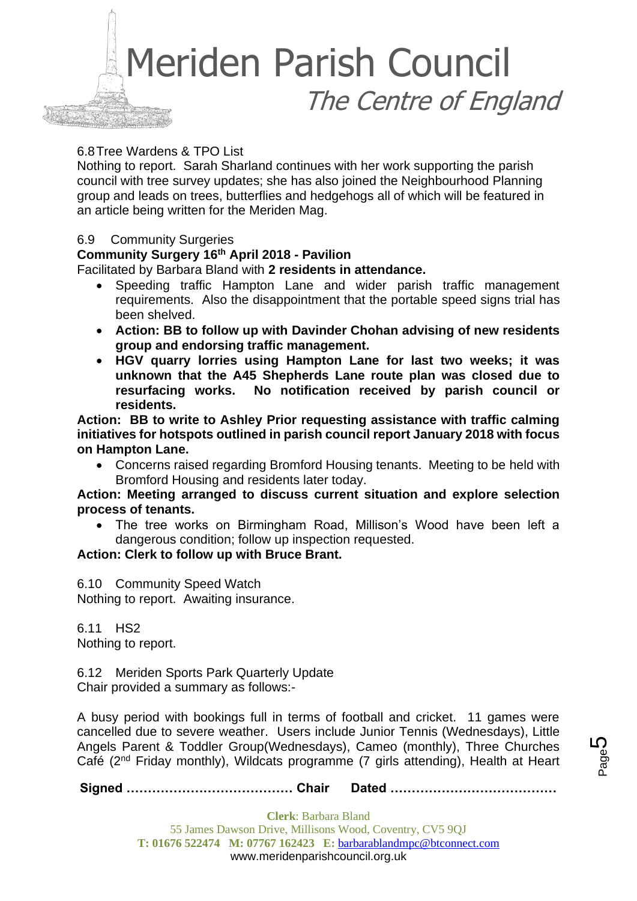

#### 6.8Tree Wardens & TPO List

Nothing to report. Sarah Sharland continues with her work supporting the parish council with tree survey updates; she has also joined the Neighbourhood Planning group and leads on trees, butterflies and hedgehogs all of which will be featured in an article being written for the Meriden Mag.

#### 6.9 Community Surgeries

# **Community Surgery 16th April 2018 - Pavilion**

Facilitated by Barbara Bland with **2 residents in attendance.** 

- Speeding traffic Hampton Lane and wider parish traffic management requirements. Also the disappointment that the portable speed signs trial has been shelved.
- **Action: BB to follow up with Davinder Chohan advising of new residents group and endorsing traffic management.**
- **HGV quarry lorries using Hampton Lane for last two weeks; it was unknown that the A45 Shepherds Lane route plan was closed due to resurfacing works. No notification received by parish council or residents.**

**Action: BB to write to Ashley Prior requesting assistance with traffic calming initiatives for hotspots outlined in parish council report January 2018 with focus on Hampton Lane.** 

• Concerns raised regarding Bromford Housing tenants. Meeting to be held with Bromford Housing and residents later today.

#### **Action: Meeting arranged to discuss current situation and explore selection process of tenants.**

• The tree works on Birmingham Road, Millison's Wood have been left a dangerous condition; follow up inspection requested.

#### **Action: Clerk to follow up with Bruce Brant.**

6.10 Community Speed Watch Nothing to report. Awaiting insurance.

6.11 HS2 Nothing to report.

6.12 Meriden Sports Park Quarterly Update Chair provided a summary as follows:-

A busy period with bookings full in terms of football and cricket. 11 games were cancelled due to severe weather. Users include Junior Tennis (Wednesdays), Little Angels Parent & Toddler Group(Wednesdays), Cameo (monthly), Three Churches Café (2nd Friday monthly), Wildcats programme (7 girls attending), Health at Heart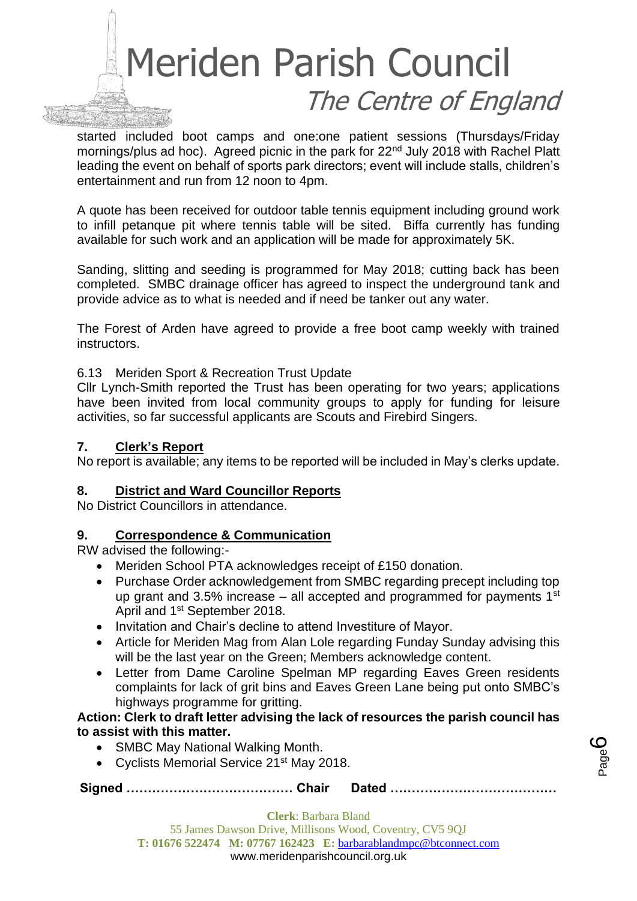

started included boot camps and one:one patient sessions (Thursdays/Friday mornings/plus ad hoc). Agreed picnic in the park for 22<sup>nd</sup> July 2018 with Rachel Platt leading the event on behalf of sports park directors; event will include stalls, children's entertainment and run from 12 noon to 4pm.

A quote has been received for outdoor table tennis equipment including ground work to infill petanque pit where tennis table will be sited. Biffa currently has funding available for such work and an application will be made for approximately 5K.

Sanding, slitting and seeding is programmed for May 2018; cutting back has been completed. SMBC drainage officer has agreed to inspect the underground tank and provide advice as to what is needed and if need be tanker out any water.

The Forest of Arden have agreed to provide a free boot camp weekly with trained instructors.

#### 6.13 Meriden Sport & Recreation Trust Update

Cllr Lynch-Smith reported the Trust has been operating for two years; applications have been invited from local community groups to apply for funding for leisure activities, so far successful applicants are Scouts and Firebird Singers.

#### **7. Clerk's Report**

No report is available; any items to be reported will be included in May's clerks update.

#### **8. District and Ward Councillor Reports**

No District Councillors in attendance.

#### **9. Correspondence & Communication**

RW advised the following:-

- Meriden School PTA acknowledges receipt of £150 donation.
- Purchase Order acknowledgement from SMBC regarding precept including top up grant and 3.5% increase – all accepted and programmed for payments  $1<sup>st</sup>$ April and 1st September 2018.
- Invitation and Chair's decline to attend Investiture of Mayor.
- Article for Meriden Mag from Alan Lole regarding Funday Sunday advising this will be the last year on the Green; Members acknowledge content.
- Letter from Dame Caroline Spelman MP regarding Eaves Green residents complaints for lack of grit bins and Eaves Green Lane being put onto SMBC's highways programme for gritting.

#### **Action: Clerk to draft letter advising the lack of resources the parish council has to assist with this matter.**

- SMBC May National Walking Month.
- Cyclists Memorial Service 21<sup>st</sup> May 2018.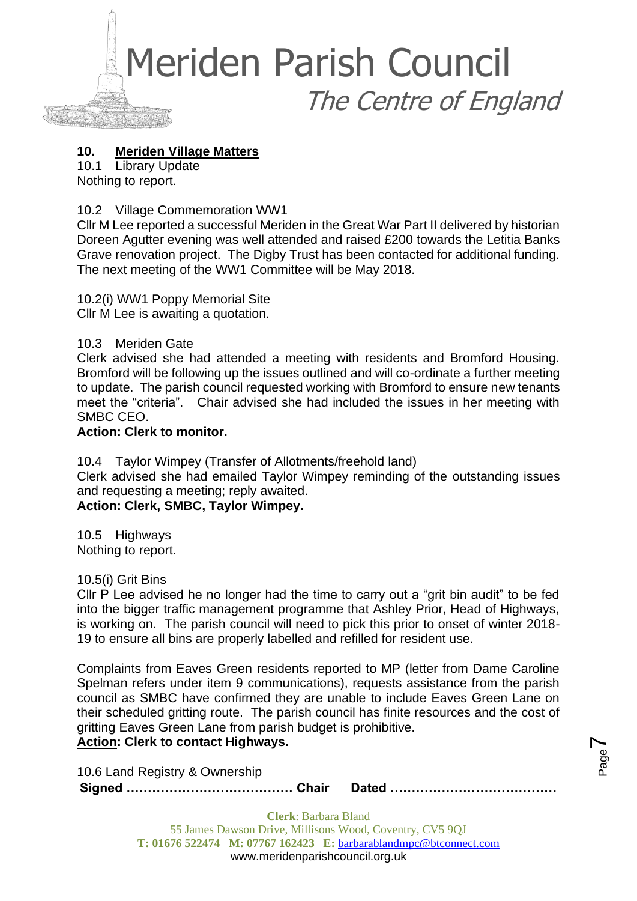

# **10. Meriden Village Matters**

10.1 Library Update Nothing to report.

10.2 Village Commemoration WW1

Cllr M Lee reported a successful Meriden in the Great War Part II delivered by historian Doreen Agutter evening was well attended and raised £200 towards the Letitia Banks Grave renovation project. The Digby Trust has been contacted for additional funding. The next meeting of the WW1 Committee will be May 2018.

10.2(i) WW1 Poppy Memorial Site Cllr M Lee is awaiting a quotation.

10.3 Meriden Gate

Clerk advised she had attended a meeting with residents and Bromford Housing. Bromford will be following up the issues outlined and will co-ordinate a further meeting to update. The parish council requested working with Bromford to ensure new tenants meet the "criteria". Chair advised she had included the issues in her meeting with SMBC CEO.

#### **Action: Clerk to monitor.**

10.4 Taylor Wimpey (Transfer of Allotments/freehold land) Clerk advised she had emailed Taylor Wimpey reminding of the outstanding issues and requesting a meeting; reply awaited. **Action: Clerk, SMBC, Taylor Wimpey.**

10.5 Highways Nothing to report.

#### 10.5(i) Grit Bins

Cllr P Lee advised he no longer had the time to carry out a "grit bin audit" to be fed into the bigger traffic management programme that Ashley Prior, Head of Highways, is working on. The parish council will need to pick this prior to onset of winter 2018- 19 to ensure all bins are properly labelled and refilled for resident use.

Complaints from Eaves Green residents reported to MP (letter from Dame Caroline Spelman refers under item 9 communications), requests assistance from the parish council as SMBC have confirmed they are unable to include Eaves Green Lane on their scheduled gritting route. The parish council has finite resources and the cost of gritting Eaves Green Lane from parish budget is prohibitive.

# **Action: Clerk to contact Highways.**

10.6 Land Registry & Ownership

**Signed ………………………………… Chair Dated …………………………………**

Page  $\blacktriangleright$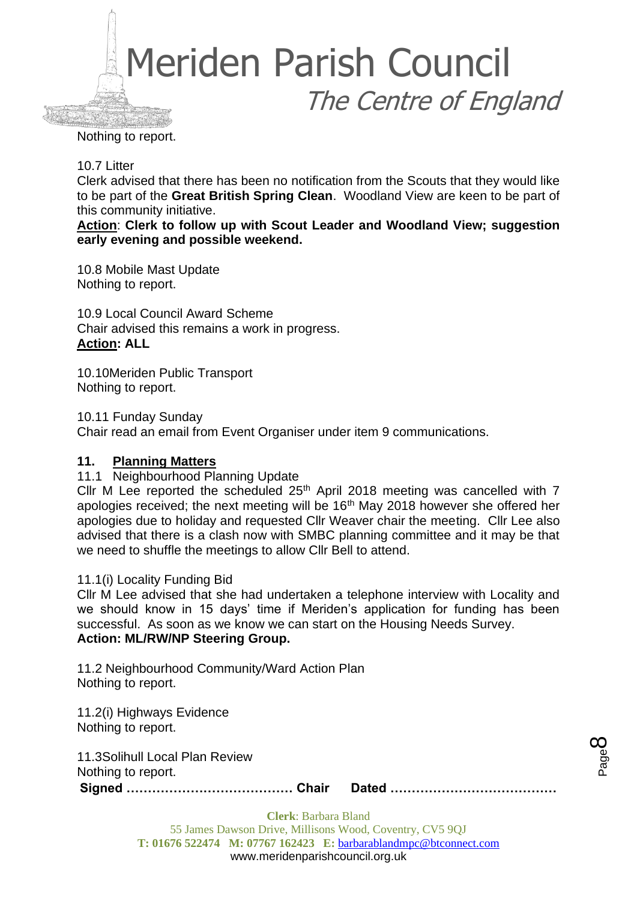

Nothing to report.

#### 10.7 Litter

Clerk advised that there has been no notification from the Scouts that they would like to be part of the **Great British Spring Clean**. Woodland View are keen to be part of this community initiative.

**Action**: **Clerk to follow up with Scout Leader and Woodland View; suggestion early evening and possible weekend.**

10.8 Mobile Mast Update Nothing to report.

10.9 Local Council Award Scheme Chair advised this remains a work in progress. **Action: ALL**

10.10Meriden Public Transport Nothing to report.

10.11 Funday Sunday Chair read an email from Event Organiser under item 9 communications.

#### **11. Planning Matters**

11.1 Neighbourhood Planning Update

Cllr M Lee reported the scheduled  $25<sup>th</sup>$  April 2018 meeting was cancelled with 7 apologies received; the next meeting will be  $16<sup>th</sup>$  May 2018 however she offered her apologies due to holiday and requested Cllr Weaver chair the meeting. Cllr Lee also advised that there is a clash now with SMBC planning committee and it may be that we need to shuffle the meetings to allow Cllr Bell to attend.

#### 11.1(i) Locality Funding Bid

Cllr M Lee advised that she had undertaken a telephone interview with Locality and we should know in 15 days' time if Meriden's application for funding has been successful. As soon as we know we can start on the Housing Needs Survey. **Action: ML/RW/NP Steering Group.**

11.2 Neighbourhood Community/Ward Action Plan Nothing to report.

11.2(i) Highways Evidence Nothing to report.

11.3Solihull Local Plan Review Nothing to report.

**Signed ………………………………… Chair Dated …………………………………**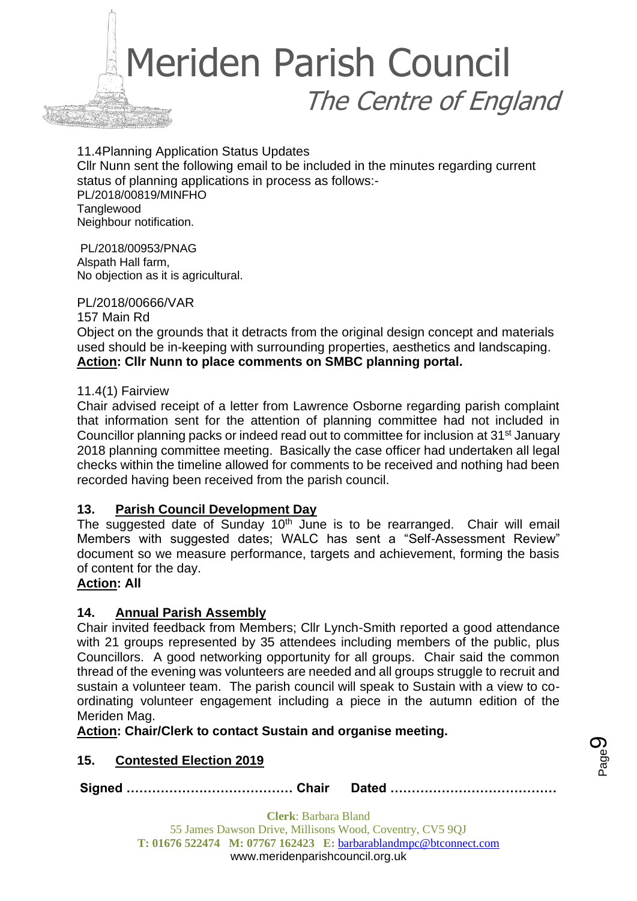

11.4Planning Application Status Updates Cllr Nunn sent the following email to be included in the minutes regarding current status of planning applications in process as follows:- PL/2018/00819/MINFHO **Tanglewood** Neighbour notification.

PL/2018/00953/PNAG Alspath Hall farm, No objection as it is agricultural.

PL/2018/00666/VAR

157 Main Rd Object on the grounds that it detracts from the original design concept and materials used should be in-keeping with surrounding properties, aesthetics and landscaping. **Action: Cllr Nunn to place comments on SMBC planning portal.** 

#### 11.4(1) Fairview

Chair advised receipt of a letter from Lawrence Osborne regarding parish complaint that information sent for the attention of planning committee had not included in Councillor planning packs or indeed read out to committee for inclusion at 31st January 2018 planning committee meeting. Basically the case officer had undertaken all legal checks within the timeline allowed for comments to be received and nothing had been recorded having been received from the parish council.

# **13. Parish Council Development Day**

The suggested date of Sunday  $10<sup>th</sup>$  June is to be rearranged. Chair will email Members with suggested dates; WALC has sent a "Self-Assessment Review" document so we measure performance, targets and achievement, forming the basis of content for the day.

#### **Action: All**

# **14. Annual Parish Assembly**

Chair invited feedback from Members; Cllr Lynch-Smith reported a good attendance with 21 groups represented by 35 attendees including members of the public, plus Councillors. A good networking opportunity for all groups. Chair said the common thread of the evening was volunteers are needed and all groups struggle to recruit and sustain a volunteer team. The parish council will speak to Sustain with a view to coordinating volunteer engagement including a piece in the autumn edition of the Meriden Mag.

**Action: Chair/Clerk to contact Sustain and organise meeting.**

#### **15. Contested Election 2019**

**Signed ………………………………… Chair Dated …………………………………**